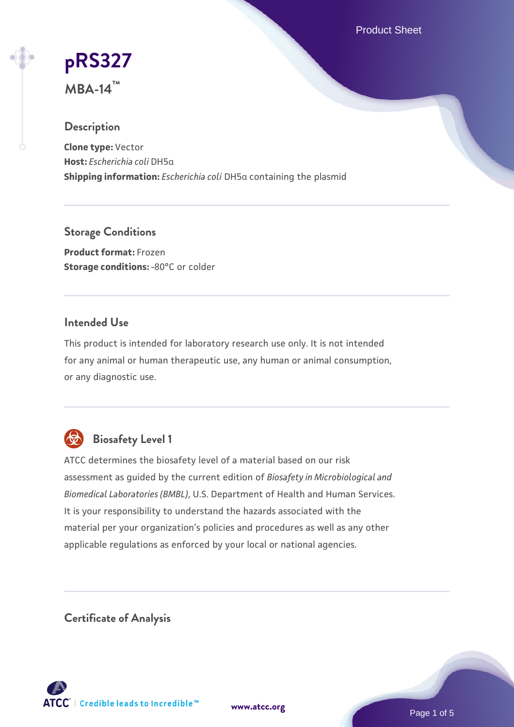Product Sheet

# **[pRS327](https://www.atcc.org/products/mba-14)**

**MBA-14™**

# **Description**

**Clone type:** Vector **Host:** *Escherichia coli* DH5α **Shipping information:** *Escherichia coli* DH5α containing the plasmid

**Storage Conditions**

**Product format:** Frozen **Storage conditions: -80°C or colder** 

# **Intended Use**

This product is intended for laboratory research use only. It is not intended for any animal or human therapeutic use, any human or animal consumption, or any diagnostic use.



# **Biosafety Level 1**

ATCC determines the biosafety level of a material based on our risk assessment as guided by the current edition of *Biosafety in Microbiological and Biomedical Laboratories (BMBL)*, U.S. Department of Health and Human Services. It is your responsibility to understand the hazards associated with the material per your organization's policies and procedures as well as any other applicable regulations as enforced by your local or national agencies.

**Certificate of Analysis**

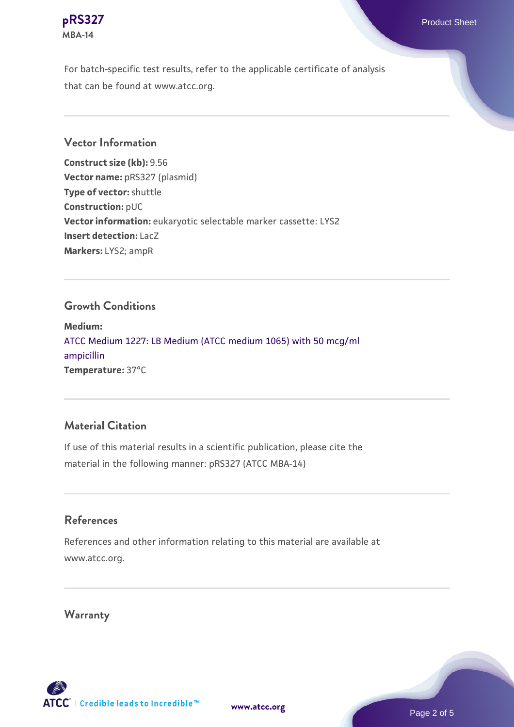

For batch-specific test results, refer to the applicable certificate of analysis that can be found at www.atcc.org.

# **Vector Information**

**Construct size (kb):** 9.56 **Vector name:** pRS327 (plasmid) **Type of vector:** shuttle **Construction:** pUC **Vector information:** eukaryotic selectable marker cassette: LYS2 **Insert detection:** LacZ **Markers:** LYS2; ampR

#### **Growth Conditions**

**Medium:**  [ATCC Medium 1227: LB Medium \(ATCC medium 1065\) with 50 mcg/ml](https://www.atcc.org/-/media/product-assets/documents/microbial-media-formulations/1/2/2/7/atcc-medium-1227.pdf?rev=581c98603b3e4b29a6d62ee0ba9ca578) [ampicillin](https://www.atcc.org/-/media/product-assets/documents/microbial-media-formulations/1/2/2/7/atcc-medium-1227.pdf?rev=581c98603b3e4b29a6d62ee0ba9ca578) **Temperature:** 37°C

# **Material Citation**

If use of this material results in a scientific publication, please cite the material in the following manner: pRS327 (ATCC MBA-14)

#### **References**

References and other information relating to this material are available at www.atcc.org.

# **Warranty**



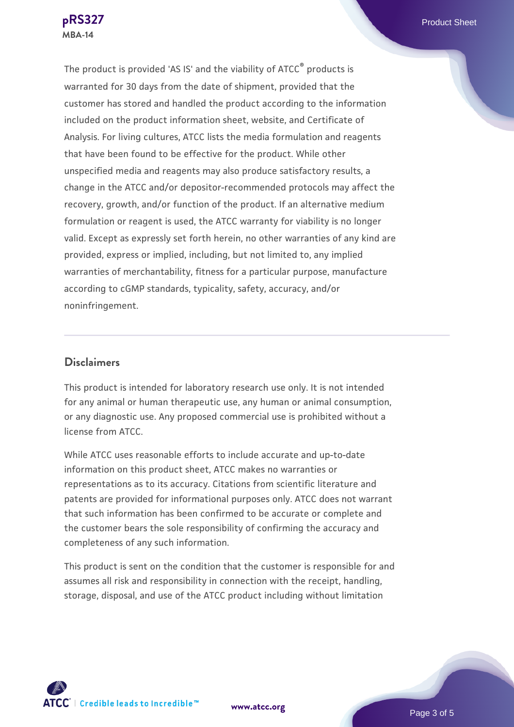The product is provided 'AS IS' and the viability of ATCC® products is warranted for 30 days from the date of shipment, provided that the customer has stored and handled the product according to the information included on the product information sheet, website, and Certificate of Analysis. For living cultures, ATCC lists the media formulation and reagents that have been found to be effective for the product. While other unspecified media and reagents may also produce satisfactory results, a change in the ATCC and/or depositor-recommended protocols may affect the recovery, growth, and/or function of the product. If an alternative medium formulation or reagent is used, the ATCC warranty for viability is no longer valid. Except as expressly set forth herein, no other warranties of any kind are provided, express or implied, including, but not limited to, any implied warranties of merchantability, fitness for a particular purpose, manufacture according to cGMP standards, typicality, safety, accuracy, and/or noninfringement.

# **Disclaimers**

This product is intended for laboratory research use only. It is not intended for any animal or human therapeutic use, any human or animal consumption, or any diagnostic use. Any proposed commercial use is prohibited without a license from ATCC.

While ATCC uses reasonable efforts to include accurate and up-to-date information on this product sheet, ATCC makes no warranties or representations as to its accuracy. Citations from scientific literature and patents are provided for informational purposes only. ATCC does not warrant that such information has been confirmed to be accurate or complete and the customer bears the sole responsibility of confirming the accuracy and completeness of any such information.

This product is sent on the condition that the customer is responsible for and assumes all risk and responsibility in connection with the receipt, handling, storage, disposal, and use of the ATCC product including without limitation



**[www.atcc.org](http://www.atcc.org)**

Page 3 of 5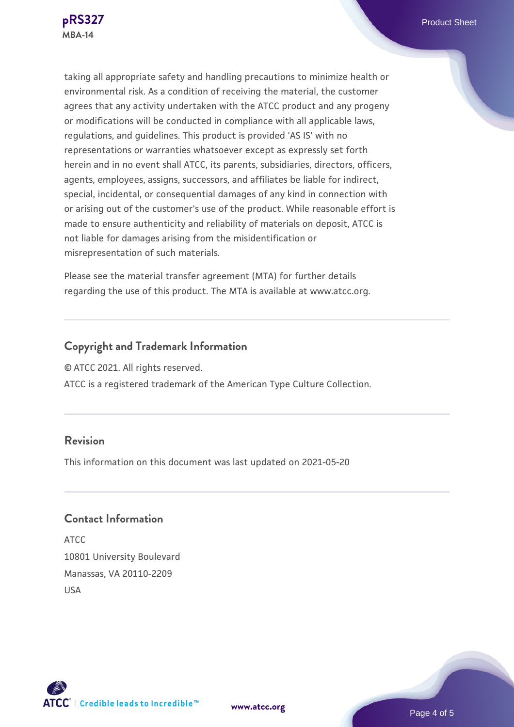taking all appropriate safety and handling precautions to minimize health or environmental risk. As a condition of receiving the material, the customer agrees that any activity undertaken with the ATCC product and any progeny or modifications will be conducted in compliance with all applicable laws, regulations, and guidelines. This product is provided 'AS IS' with no representations or warranties whatsoever except as expressly set forth herein and in no event shall ATCC, its parents, subsidiaries, directors, officers, agents, employees, assigns, successors, and affiliates be liable for indirect, special, incidental, or consequential damages of any kind in connection with or arising out of the customer's use of the product. While reasonable effort is made to ensure authenticity and reliability of materials on deposit, ATCC is not liable for damages arising from the misidentification or misrepresentation of such materials.

Please see the material transfer agreement (MTA) for further details regarding the use of this product. The MTA is available at www.atcc.org.

# **Copyright and Trademark Information**

© ATCC 2021. All rights reserved.

ATCC is a registered trademark of the American Type Culture Collection.

### **Revision**

This information on this document was last updated on 2021-05-20

**[www.atcc.org](http://www.atcc.org)**

# **Contact Information**

ATCC 10801 University Boulevard Manassas, VA 20110-2209 USA